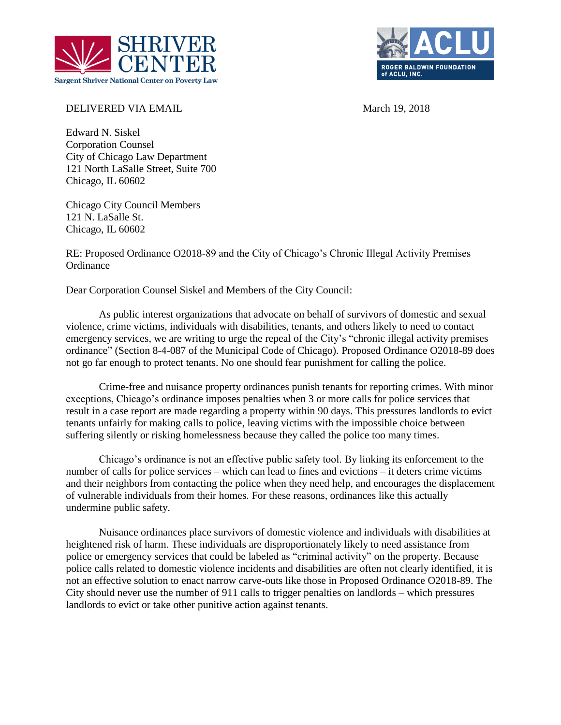



DELIVERED VIA EMAIL March 19, 2018

Edward N. Siskel Corporation Counsel City of Chicago Law Department 121 North LaSalle Street, Suite 700 Chicago, IL 60602

Chicago City Council Members 121 N. LaSalle St. Chicago, IL 60602

RE: Proposed Ordinance O2018-89 and the City of Chicago's Chronic Illegal Activity Premises **Ordinance** 

Dear Corporation Counsel Siskel and Members of the City Council:

As public interest organizations that advocate on behalf of survivors of domestic and sexual violence, crime victims, individuals with disabilities, tenants, and others likely to need to contact emergency services, we are writing to urge the repeal of the City's "chronic illegal activity premises ordinance" (Section 8-4-087 of the Municipal Code of Chicago). Proposed Ordinance O2018-89 does not go far enough to protect tenants. No one should fear punishment for calling the police.

Crime-free and nuisance property ordinances punish tenants for reporting crimes. With minor exceptions, Chicago's ordinance imposes penalties when 3 or more calls for police services that result in a case report are made regarding a property within 90 days. This pressures landlords to evict tenants unfairly for making calls to police, leaving victims with the impossible choice between suffering silently or risking homelessness because they called the police too many times.

Chicago's ordinance is not an effective public safety tool. By linking its enforcement to the number of calls for police services – which can lead to fines and evictions – it deters crime victims and their neighbors from contacting the police when they need help, and encourages the displacement of vulnerable individuals from their homes. For these reasons, ordinances like this actually undermine public safety.

Nuisance ordinances place survivors of domestic violence and individuals with disabilities at heightened risk of harm. These individuals are disproportionately likely to need assistance from police or emergency services that could be labeled as "criminal activity" on the property. Because police calls related to domestic violence incidents and disabilities are often not clearly identified, it is not an effective solution to enact narrow carve-outs like those in Proposed Ordinance O2018-89. The City should never use the number of 911 calls to trigger penalties on landlords – which pressures landlords to evict or take other punitive action against tenants.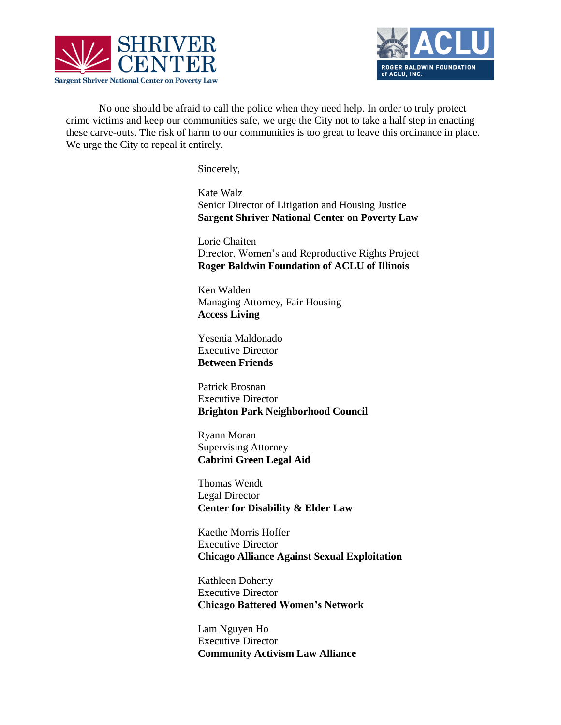



No one should be afraid to call the police when they need help. In order to truly protect crime victims and keep our communities safe, we urge the City not to take a half step in enacting these carve-outs. The risk of harm to our communities is too great to leave this ordinance in place. We urge the City to repeal it entirely.

Sincerely,

Kate Walz Senior Director of Litigation and Housing Justice **Sargent Shriver National Center on Poverty Law**

Lorie Chaiten Director, Women's and Reproductive Rights Project **Roger Baldwin Foundation of ACLU of Illinois**

Ken Walden Managing Attorney, Fair Housing **Access Living**

Yesenia Maldonado Executive Director **Between Friends** 

Patrick Brosnan Executive Director **Brighton Park Neighborhood Council**

Ryann Moran Supervising Attorney **Cabrini Green Legal Aid**

Thomas Wendt Legal Director **Center for Disability & Elder Law**

Kaethe Morris Hoffer Executive Director **Chicago Alliance Against Sexual Exploitation**

Kathleen Doherty Executive Director **Chicago Battered Women's Network**

Lam Nguyen Ho Executive Director **Community Activism Law Alliance**